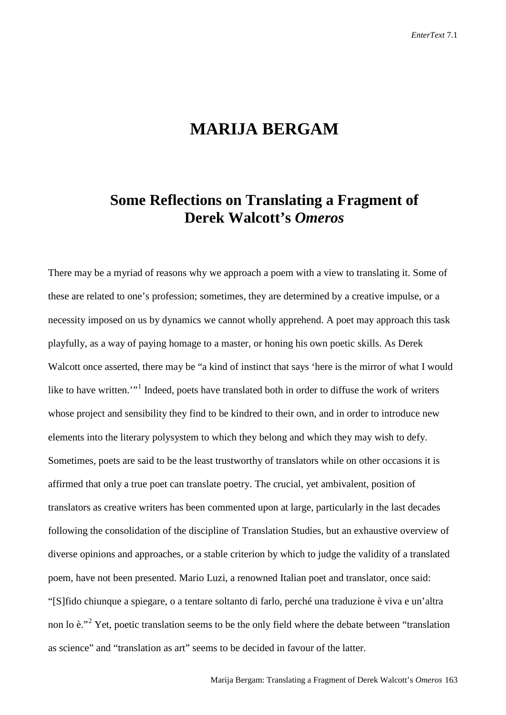## **MARIJA BERGAM**

## **Some Reflections on Translating a Fragment of Derek Walcott's** *Omeros*

There may be a myriad of reasons why we approach a poem with a view to translating it. Some of these are related to one's profession; sometimes, they are determined by a creative impulse, or a necessity imposed on us by dynamics we cannot wholly apprehend. A poet may approach this task playfully, as a way of paying homage to a master, or honing his own poetic skills. As Derek Walcott once asserted, there may be "a kind of instinct that says 'here is the mirror of what I would like to have written.'"<sup>[1](#page-8-0)</sup> Indeed, poets have translated both in order to diffuse the work of writers whose project and sensibility they find to be kindred to their own, and in order to introduce new elements into the literary polysystem to which they belong and which they may wish to defy. Sometimes, poets are said to be the least trustworthy of translators while on other occasions it is affirmed that only a true poet can translate poetry. The crucial, yet ambivalent, position of translators as creative writers has been commented upon at large, particularly in the last decades following the consolidation of the discipline of Translation Studies, but an exhaustive overview of diverse opinions and approaches, or a stable criterion by which to judge the validity of a translated poem, have not been presented. Mario Luzi, a renowned Italian poet and translator, once said: "[S]fido chiunque a spiegare, o a tentare soltanto di farlo, perché una traduzione è viva e un'altra non lo è."[2](#page-8-1) Yet, poetic translation seems to be the only field where the debate between "translation as science" and "translation as art" seems to be decided in favour of the latter.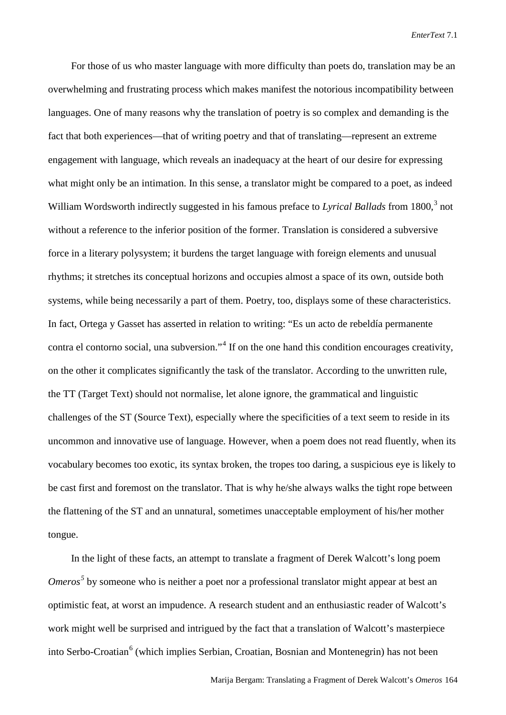For those of us who master language with more difficulty than poets do, translation may be an overwhelming and frustrating process which makes manifest the notorious incompatibility between languages. One of many reasons why the translation of poetry is so complex and demanding is the fact that both experiences—that of writing poetry and that of translating—represent an extreme engagement with language, which reveals an inadequacy at the heart of our desire for expressing what might only be an intimation. In this sense, a translator might be compared to a poet, as indeed William Wordsworth indirectly suggested in his famous preface to *Lyrical Ballads* from 1800, [3](#page-8-2) not without a reference to the inferior position of the former. Translation is considered a subversive force in a literary polysystem; it burdens the target language with foreign elements and unusual rhythms; it stretches its conceptual horizons and occupies almost a space of its own, outside both systems, while being necessarily a part of them. Poetry, too, displays some of these characteristics. In fact, Ortega y Gasset has asserted in relation to writing: "Es un acto de rebeldía permanente contra el contorno social, una subversion."[4](#page-8-3) If on the one hand this condition encourages creativity, on the other it complicates significantly the task of the translator. According to the unwritten rule, the TT (Target Text) should not normalise, let alone ignore, the grammatical and linguistic challenges of the ST (Source Text), especially where the specificities of a text seem to reside in its uncommon and innovative use of language. However, when a poem does not read fluently, when its vocabulary becomes too exotic, its syntax broken, the tropes too daring, a suspicious eye is likely to be cast first and foremost on the translator. That is why he/she always walks the tight rope between the flattening of the ST and an unnatural, sometimes unacceptable employment of his/her mother tongue.

In the light of these facts, an attempt to translate a fragment of Derek Walcott's long poem *Omeros*<sup>[5](#page-8-4)</sup> by someone who is neither a poet nor a professional translator might appear at best an optimistic feat, at worst an impudence. A research student and an enthusiastic reader of Walcott's work might well be surprised and intrigued by the fact that a translation of Walcott's masterpiece into Serbo-Croatian<sup>[6](#page-8-5)</sup> (which implies Serbian, Croatian, Bosnian and Montenegrin) has not been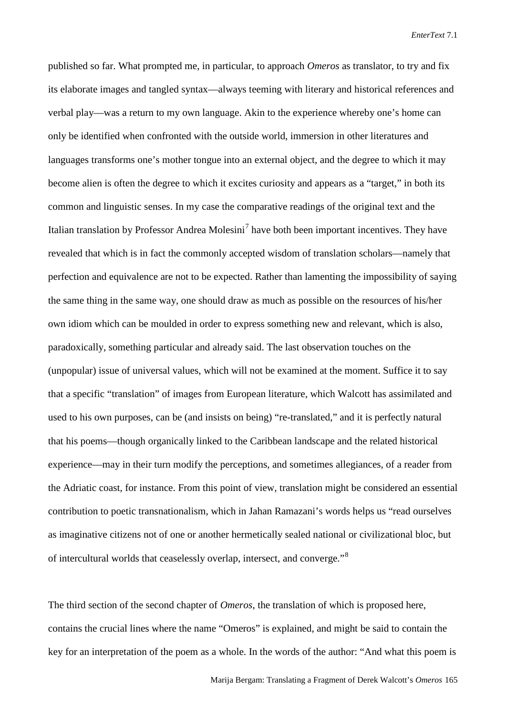published so far. What prompted me, in particular, to approach *Omeros* as translator, to try and fix its elaborate images and tangled syntax—always teeming with literary and historical references and verbal play—was a return to my own language. Akin to the experience whereby one's home can only be identified when confronted with the outside world, immersion in other literatures and languages transforms one's mother tongue into an external object, and the degree to which it may become alien is often the degree to which it excites curiosity and appears as a "target," in both its common and linguistic senses. In my case the comparative readings of the original text and the Italian translation by Professor Andrea Molesini<sup>[7](#page-8-6)</sup> have both been important incentives. They have revealed that which is in fact the commonly accepted wisdom of translation scholars—namely that perfection and equivalence are not to be expected. Rather than lamenting the impossibility of saying the same thing in the same way, one should draw as much as possible on the resources of his/her own idiom which can be moulded in order to express something new and relevant, which is also, paradoxically, something particular and already said. The last observation touches on the (unpopular) issue of universal values, which will not be examined at the moment. Suffice it to say that a specific "translation" of images from European literature, which Walcott has assimilated and used to his own purposes, can be (and insists on being) "re-translated," and it is perfectly natural that his poems—though organically linked to the Caribbean landscape and the related historical experience—may in their turn modify the perceptions, and sometimes allegiances, of a reader from the Adriatic coast, for instance. From this point of view, translation might be considered an essential contribution to poetic transnationalism, which in Jahan Ramazani's words helps us "read ourselves as imaginative citizens not of one or another hermetically sealed national or civilizational bloc, but of intercultural worlds that ceaselessly overlap, intersect, and converge."[8](#page-8-7)

The third section of the second chapter of *Omeros*, the translation of which is proposed here, contains the crucial lines where the name "Omeros" is explained, and might be said to contain the key for an interpretation of the poem as a whole. In the words of the author: "And what this poem is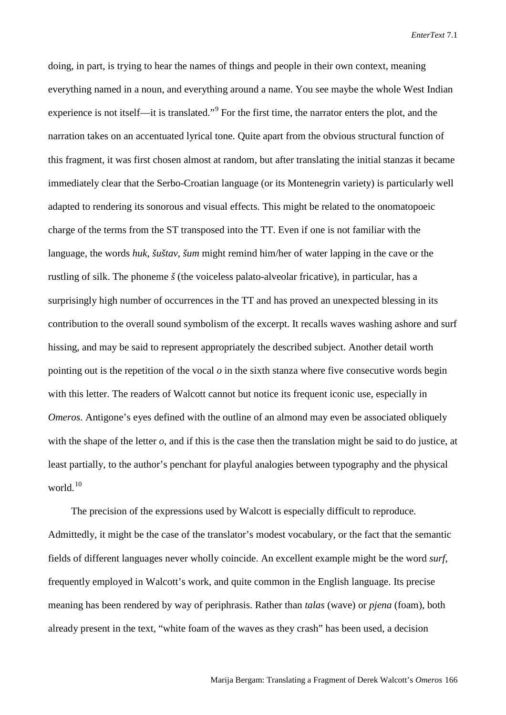doing, in part, is trying to hear the names of things and people in their own context, meaning everything named in a noun, and everything around a name. You see maybe the whole West Indian experience is not itself—it is translated."[9](#page-8-8) For the first time, the narrator enters the plot, and the narration takes on an accentuated lyrical tone. Quite apart from the obvious structural function of this fragment, it was first chosen almost at random, but after translating the initial stanzas it became immediately clear that the Serbo-Croatian language (or its Montenegrin variety) is particularly well adapted to rendering its sonorous and visual effects. This might be related to the onomatopoeic charge of the terms from the ST transposed into the TT. Even if one is not familiar with the language, the words *huk*, *šuštav*, *šum* might remind him/her of water lapping in the cave or the rustling of silk. The phoneme *š* (the voiceless palato-alveolar fricative), in particular, has a surprisingly high number of occurrences in the TT and has proved an unexpected blessing in its contribution to the overall sound symbolism of the excerpt. It recalls waves washing ashore and surf hissing, and may be said to represent appropriately the described subject. Another detail worth pointing out is the repetition of the vocal *o* in the sixth stanza where five consecutive words begin with this letter. The readers of Walcott cannot but notice its frequent iconic use, especially in *Omeros*. Antigone's eyes defined with the outline of an almond may even be associated obliquely with the shape of the letter *o*, and if this is the case then the translation might be said to do justice, at least partially, to the author's penchant for playful analogies between typography and the physical world.<sup>[10](#page-8-9)</sup>

The precision of the expressions used by Walcott is especially difficult to reproduce. Admittedly, it might be the case of the translator's modest vocabulary, or the fact that the semantic fields of different languages never wholly coincide. An excellent example might be the word *surf*, frequently employed in Walcott's work, and quite common in the English language. Its precise meaning has been rendered by way of periphrasis. Rather than *talas* (wave) or *pjena* (foam), both already present in the text, "white foam of the waves as they crash" has been used, a decision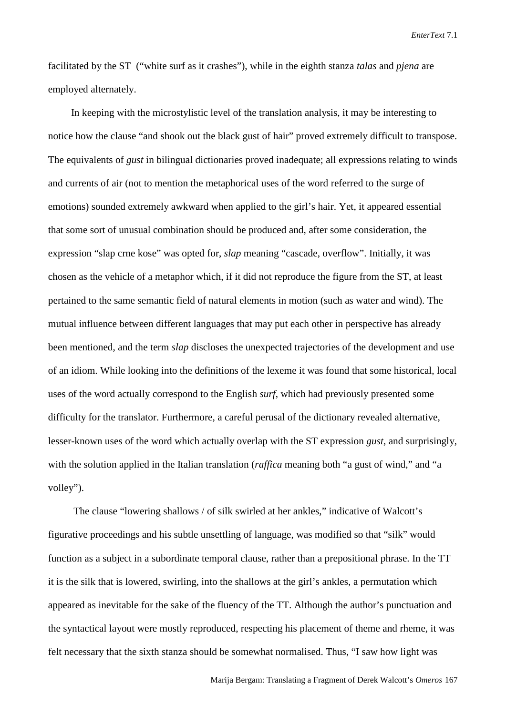facilitated by the ST ("white surf as it crashes"), while in the eighth stanza *talas* and *pjena* are employed alternately.

In keeping with the microstylistic level of the translation analysis, it may be interesting to notice how the clause "and shook out the black gust of hair" proved extremely difficult to transpose. The equivalents of *gust* in bilingual dictionaries proved inadequate; all expressions relating to winds and currents of air (not to mention the metaphorical uses of the word referred to the surge of emotions) sounded extremely awkward when applied to the girl's hair. Yet, it appeared essential that some sort of unusual combination should be produced and, after some consideration, the expression "slap crne kose" was opted for, *slap* meaning "cascade, overflow". Initially, it was chosen as the vehicle of a metaphor which, if it did not reproduce the figure from the ST, at least pertained to the same semantic field of natural elements in motion (such as water and wind). The mutual influence between different languages that may put each other in perspective has already been mentioned, and the term *slap* discloses the unexpected trajectories of the development and use of an idiom. While looking into the definitions of the lexeme it was found that some historical, local uses of the word actually correspond to the English *surf*, which had previously presented some difficulty for the translator. Furthermore, a careful perusal of the dictionary revealed alternative, lesser-known uses of the word which actually overlap with the ST expression *gust*, and surprisingly, with the solution applied in the Italian translation (*raffica* meaning both "a gust of wind," and "a volley").

The clause "lowering shallows / of silk swirled at her ankles," indicative of Walcott's figurative proceedings and his subtle unsettling of language, was modified so that "silk" would function as a subject in a subordinate temporal clause, rather than a prepositional phrase. In the TT it is the silk that is lowered, swirling, into the shallows at the girl's ankles, a permutation which appeared as inevitable for the sake of the fluency of the TT. Although the author's punctuation and the syntactical layout were mostly reproduced, respecting his placement of theme and rheme, it was felt necessary that the sixth stanza should be somewhat normalised. Thus, "I saw how light was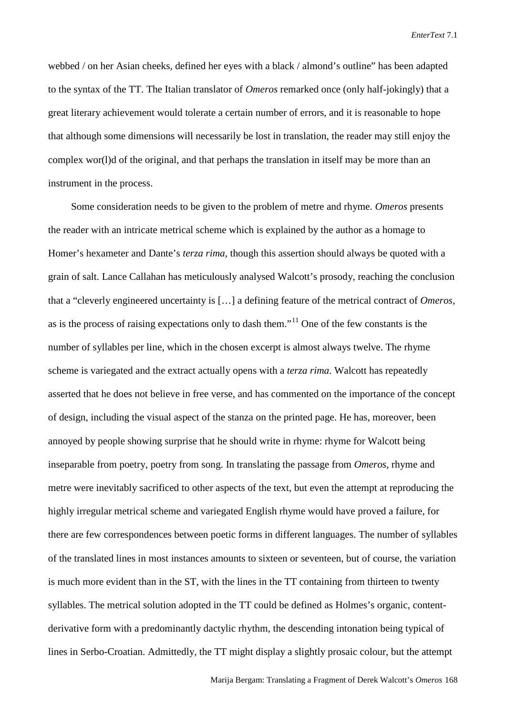webbed / on her Asian cheeks, defined her eyes with a black / almond's outline" has been adapted to the syntax of the TT. The Italian translator of *Omeros* remarked once (only half-jokingly) that a great literary achievement would tolerate a certain number of errors, and it is reasonable to hope that although some dimensions will necessarily be lost in translation, the reader may still enjoy the complex wor(l)d of the original, and that perhaps the translation in itself may be more than an instrument in the process.

Some consideration needs to be given to the problem of metre and rhyme. *Omeros* presents the reader with an intricate metrical scheme which is explained by the author as a homage to Homer's hexameter and Dante's *terza rima*, though this assertion should always be quoted with a grain of salt. Lance Callahan has meticulously analysed Walcott's prosody, reaching the conclusion that a "cleverly engineered uncertainty is […] a defining feature of the metrical contract of *Omeros*, as is the process of raising expectations only to dash them."<sup>[11](#page-8-10)</sup> One of the few constants is the number of syllables per line, which in the chosen excerpt is almost always twelve. The rhyme scheme is variegated and the extract actually opens with a *terza rima*. Walcott has repeatedly asserted that he does not believe in free verse, and has commented on the importance of the concept of design, including the visual aspect of the stanza on the printed page. He has, moreover, been annoyed by people showing surprise that he should write in rhyme: rhyme for Walcott being inseparable from poetry, poetry from song. In translating the passage from *Omeros*, rhyme and metre were inevitably sacrificed to other aspects of the text, but even the attempt at reproducing the highly irregular metrical scheme and variegated English rhyme would have proved a failure, for there are few correspondences between poetic forms in different languages. The number of syllables of the translated lines in most instances amounts to sixteen or seventeen, but of course, the variation is much more evident than in the ST, with the lines in the TT containing from thirteen to twenty syllables. The metrical solution adopted in the TT could be defined as Holmes's organic, contentderivative form with a predominantly dactylic rhythm, the descending intonation being typical of lines in Serbo-Croatian. Admittedly, the TT might display a slightly prosaic colour, but the attempt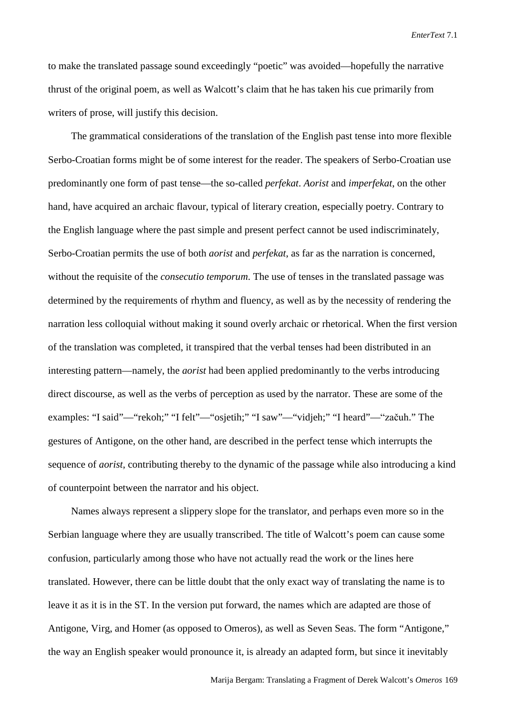to make the translated passage sound exceedingly "poetic" was avoided—hopefully the narrative thrust of the original poem, as well as Walcott's claim that he has taken his cue primarily from writers of prose, will justify this decision.

The grammatical considerations of the translation of the English past tense into more flexible Serbo-Croatian forms might be of some interest for the reader. The speakers of Serbo-Croatian use predominantly one form of past tense—the so-called *perfekat*. *Aorist* and *imperfekat*, on the other hand, have acquired an archaic flavour, typical of literary creation, especially poetry. Contrary to the English language where the past simple and present perfect cannot be used indiscriminately, Serbo-Croatian permits the use of both *aorist* and *perfekat*, as far as the narration is concerned, without the requisite of the *consecutio temporum*. The use of tenses in the translated passage was determined by the requirements of rhythm and fluency, as well as by the necessity of rendering the narration less colloquial without making it sound overly archaic or rhetorical. When the first version of the translation was completed, it transpired that the verbal tenses had been distributed in an interesting pattern—namely, the *aorist* had been applied predominantly to the verbs introducing direct discourse, as well as the verbs of perception as used by the narrator. These are some of the examples: "I said"—"rekoh;" "I felt"—"osjetih;" "I saw"—"vidjeh;" "I heard"—"začuh." The gestures of Antigone, on the other hand, are described in the perfect tense which interrupts the sequence of *aorist*, contributing thereby to the dynamic of the passage while also introducing a kind of counterpoint between the narrator and his object.

Names always represent a slippery slope for the translator, and perhaps even more so in the Serbian language where they are usually transcribed. The title of Walcott's poem can cause some confusion, particularly among those who have not actually read the work or the lines here translated. However, there can be little doubt that the only exact way of translating the name is to leave it as it is in the ST. In the version put forward, the names which are adapted are those of Antigone, Virg, and Homer (as opposed to Omeros), as well as Seven Seas. The form "Antigone," the way an English speaker would pronounce it, is already an adapted form, but since it inevitably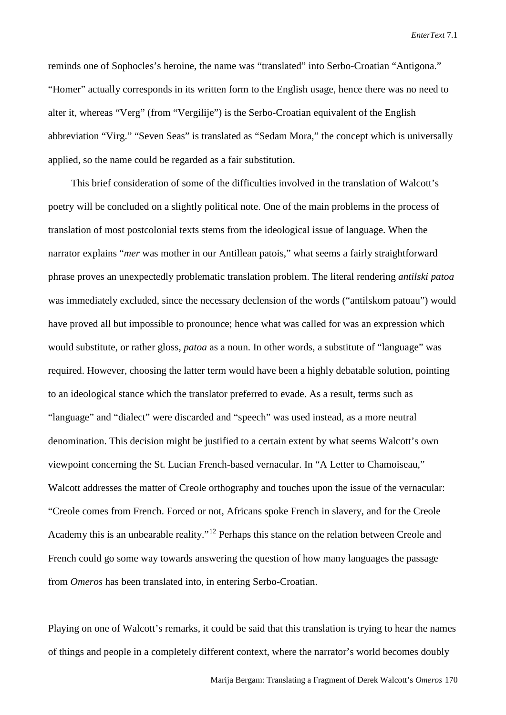reminds one of Sophocles's heroine, the name was "translated" into Serbo-Croatian "Antigona." "Homer" actually corresponds in its written form to the English usage, hence there was no need to alter it, whereas "Verg" (from "Vergilije") is the Serbo-Croatian equivalent of the English abbreviation "Virg." "Seven Seas" is translated as "Sedam Mora," the concept which is universally applied, so the name could be regarded as a fair substitution.

This brief consideration of some of the difficulties involved in the translation of Walcott's poetry will be concluded on a slightly political note. One of the main problems in the process of translation of most postcolonial texts stems from the ideological issue of language. When the narrator explains "*mer* was mother in our Antillean patois," what seems a fairly straightforward phrase proves an unexpectedly problematic translation problem. The literal rendering *antilski patoa* was immediately excluded, since the necessary declension of the words ("antilskom patoau") would have proved all but impossible to pronounce; hence what was called for was an expression which would substitute, or rather gloss, *patoa* as a noun. In other words, a substitute of "language" was required. However, choosing the latter term would have been a highly debatable solution, pointing to an ideological stance which the translator preferred to evade. As a result, terms such as "language" and "dialect" were discarded and "speech" was used instead, as a more neutral denomination. This decision might be justified to a certain extent by what seems Walcott's own viewpoint concerning the St. Lucian French-based vernacular. In "A Letter to Chamoiseau," Walcott addresses the matter of Creole orthography and touches upon the issue of the vernacular: "Creole comes from French. Forced or not, Africans spoke French in slavery, and for the Creole Academy this is an unbearable reality."<sup>[12](#page-8-11)</sup> Perhaps this stance on the relation between Creole and French could go some way towards answering the question of how many languages the passage from *Omeros* has been translated into, in entering Serbo-Croatian.

Playing on one of Walcott's remarks, it could be said that this translation is trying to hear the names of things and people in a completely different context, where the narrator's world becomes doubly